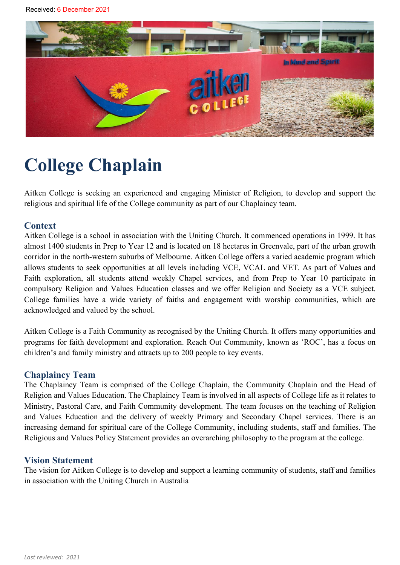

# **College Chaplain**

Aitken College is seeking an experienced and engaging Minister of Religion, to develop and support the religious and spiritual life of the College community as part of our Chaplaincy team.

#### **Context**

Aitken College is a school in association with the Uniting Church. It commenced operations in 1999. It has almost 1400 students in Prep to Year 12 and is located on 18 hectares in Greenvale, part of the urban growth corridor in the north-western suburbs of Melbourne. Aitken College offers a varied academic program which allows students to seek opportunities at all levels including VCE, VCAL and VET. As part of Values and Faith exploration, all students attend weekly Chapel services, and from Prep to Year 10 participate in compulsory Religion and Values Education classes and we offer Religion and Society as a VCE subject. College families have a wide variety of faiths and engagement with worship communities, which are acknowledged and valued by the school.

Aitken College is a Faith Community as recognised by the Uniting Church. It offers many opportunities and programs for faith development and exploration. Reach Out Community, known as 'ROC', has a focus on children's and family ministry and attracts up to 200 people to key events.

#### **Chaplaincy Team**

The Chaplaincy Team is comprised of the College Chaplain, the Community Chaplain and the Head of Religion and Values Education. The Chaplaincy Team is involved in all aspects of College life as it relates to Ministry, Pastoral Care, and Faith Community development. The team focuses on the teaching of Religion and Values Education and the delivery of weekly Primary and Secondary Chapel services. There is an increasing demand for spiritual care of the College Community, including students, staff and families. The Religious and Values Policy Statement provides an overarching philosophy to the program at the college.

#### **Vision Statement**

The vision for Aitken College is to develop and support a learning community of students, staff and families in association with the Uniting Church in Australia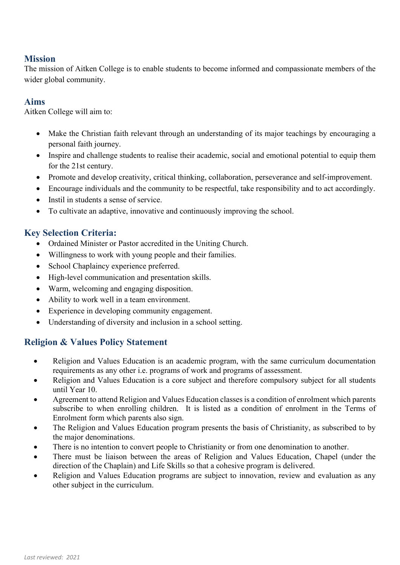# **Mission**

The mission of Aitken College is to enable students to become informed and compassionate members of the wider global community.

# **Aims**

Aitken College will aim to:

- Make the Christian faith relevant through an understanding of its major teachings by encouraging a personal faith journey.
- Inspire and challenge students to realise their academic, social and emotional potential to equip them for the 21st century.
- Promote and develop creativity, critical thinking, collaboration, perseverance and self-improvement.
- Encourage individuals and the community to be respectful, take responsibility and to act accordingly.
- Instil in students a sense of service.
- To cultivate an adaptive, innovative and continuously improving the school.

# **Key Selection Criteria:**

- Ordained Minister or Pastor accredited in the Uniting Church.
- Willingness to work with young people and their families.
- School Chaplaincy experience preferred.
- High-level communication and presentation skills.
- Warm, welcoming and engaging disposition.
- Ability to work well in a team environment.
- Experience in developing community engagement.
- Understanding of diversity and inclusion in a school setting.

# **Religion & Values Policy Statement**

- Religion and Values Education is an academic program, with the same curriculum documentation requirements as any other i.e. programs of work and programs of assessment.
- Religion and Values Education is a core subject and therefore compulsory subject for all students until Year 10.
- Agreement to attend Religion and Values Education classes is a condition of enrolment which parents subscribe to when enrolling children. It is listed as a condition of enrolment in the Terms of Enrolment form which parents also sign.
- The Religion and Values Education program presents the basis of Christianity, as subscribed to by the major denominations.
- There is no intention to convert people to Christianity or from one denomination to another.
- There must be liaison between the areas of Religion and Values Education, Chapel (under the direction of the Chaplain) and Life Skills so that a cohesive program is delivered.
- Religion and Values Education programs are subject to innovation, review and evaluation as any other subject in the curriculum.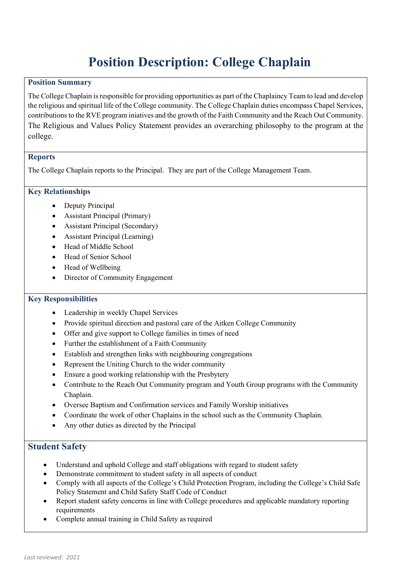# **Position Description: College Chaplain**

#### **Position Summary**

The College Chaplain is responsible for providing opportunities as part of the Chaplaincy Team to lead and develop the religious and spiritual life of the College community. The College Chaplain duties encompass Chapel Services, contributions to the RVE program iniatives and the growth of the Faith Community and the Reach Out Community. The Religious and Values Policy Statement provides an overarching philosophy to the program at the college.

#### **Reports**

The College Chaplain reports to the Principal. They are part of the College Management Team.

#### **Key Relationships**

- Deputy Principal
- Assistant Principal (Primary)
- Assistant Principal (Secondary)
- Assistant Principal (Learning)
- Head of Middle School
- Head of Senior School
- Head of Wellbeing
- Director of Community Engagement

#### **Key Responsibilities**

- Leadership in weekly Chapel Services
- Provide spiritual direction and pastoral care of the Aitken College Community
- Offer and give support to College families in times of need
- Further the establishment of a Faith Community
- Establish and strengthen links with neighbouring congregations
- Represent the Uniting Church to the wider community
- Ensure a good working relationship with the Presbytery
- Contribute to the Reach Out Community program and Youth Group programs with the Community Chaplain.
- Oversee Baptism and Confirmation services and Family Worship initiatives
- Coordinate the work of other Chaplains in the school such as the Community Chaplain.
- Any other duties as directed by the Principal

### **Student Safety**

- Understand and uphold College and staff obligations with regard to student safety
- Demonstrate commitment to student safety in all aspects of conduct
- Comply with all aspects of the College's Child Protection Program, including the College's Child Safe Policy Statement and Child Safety Staff Code of Conduct
- Report student safety concerns in line with College procedures and applicable mandatory reporting requirements
- Complete annual training in Child Safety as required